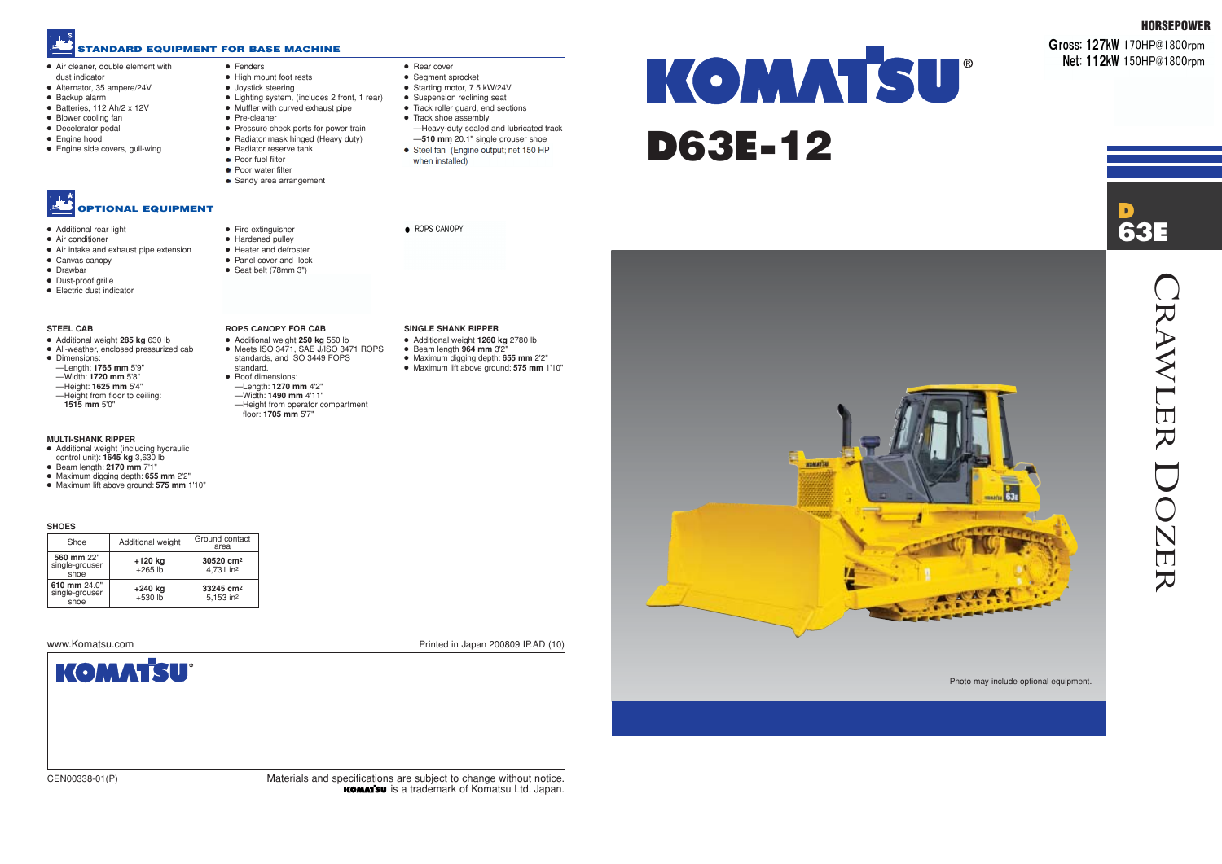- Air cleaner, double element with
- dust indicator ● Alternator, 35 ampere/24V
- Backup alarm
- Batteries, 112 Ah/2 x 12V
- Blower cooling fan
- Decelerator pedal
- Engine hood
- Engine side covers, gull-wing
	- **OPTIONAL EQUIPMENT**



#### **STANDARD EQUIPMENT FOR BASE MACHINE**

CEN00338-01(P) Materials and specifications are subject to change without notice. **KOMATSU** is a trademark of Komatsu Ltd. Japan. Photo may include optional equipment.

## www.Komatsu.com Printed in Japan 200809 IP.AD (10)

KOMMTSU<sup>®</sup> D63E-12

**NOMATION** 

**HORSEPOWER**

**Gross: 127kW** 170HP@1800rpm **Net: 112kW** 150HP@1800rpm

- Pressure check ports for power train
- Radiator mask hinged (Heavy duty)
- Radiator reserve tank
- Poor fuel filter



● Fenders

- 
- High mount foot rests
- Joystick steering ● Lighting system, (includes 2 front, 1 rear)
- Muffler with curved exhaust pipe
- Pre-cleaner

#### ● Additional rear light

- Air conditioner
- Air intake and exhaust pipe extension
- Canvas canopy
- Drawbar
- Dust-proof grille ● Electric dust indicator
- 

● Fire extinguisher ● Hardened pulley ● Heater and defroster ● Panel cover and lock ● Seat belt (78mm 3")

- Poor water filter
- Sandy area arrangement
- Rear cover
- Segment sprocket
- Starting motor, 7.5 kW/24V
	- Suspension reclining seat
	- Track roller guard, end sections
- Track shoe assembly
- —Heavy-duty sealed and lubricated track —**510 mm** 20.1" single grouser shoe
- Steel fan (Engine output; net 150 HP
- when installed)

 $\bullet$  ROPS CANOPY

#### **SHOES**

| Shoe                                   | Additional weight    | Ground contact<br>area                         |
|----------------------------------------|----------------------|------------------------------------------------|
| 560 mm 22"<br>single-grouser<br>shoe   | +120 kg<br>$+265$ lb | 30520 cm <sup>2</sup><br>4,731 in <sup>2</sup> |
| 610 mm 24.0"<br>single-grouser<br>shoe | +240 kg<br>$+530$ lb | 33245 cm <sup>2</sup><br>5,153 in <sup>2</sup> |



#### **MULTI-SHANK RIPPER**

- Additional weight (including hydraulic control unit): **1645 kg** 3,630 lb
- Beam length: **2170 mm** 7'1"
- Maximum digging depth: **655 mm** 2'2"
- Maximum lift above ground: **575 mm** 1'10"

#### **STEEL CAB**

- Additional weight **285 kg** 630 lb
- All-weather, enclosed pressurized cab
- Dimensions:
- —Length: **1765 mm** 5'9"
- —Width: **1720 mm** 5'8" —Height: **1625 mm** 5'4"
- 
- —Height from floor to ceiling: **1515 mm** 5'0"

**ROPS CANOPY FOR CAB** ● Additional weight **250 kg** 550 lb

#### standards, and ISO 3449 FOPS standard. ● Roof dimensions:

● Meets ISO 3471, SAE J/ISO 3471 ROPS

—Length: **1270 mm** 4'2" —Width: **1490 mm** 4'11"

—Height from operator compartment floor: **1705 mm** 5'7"

#### **SINGLE SHANK RIPPER**

- Additional weight **1260 kg** 2780 lb
- Beam length **964 mm** 3'2"
- Maximum digging depth: **655 mm** 2'2"
- Maximum lift above ground: **575 mm** 1'10"

- 
- -

- 
- 
- 

CRAWLER

RAWLER

DOZER

OZER

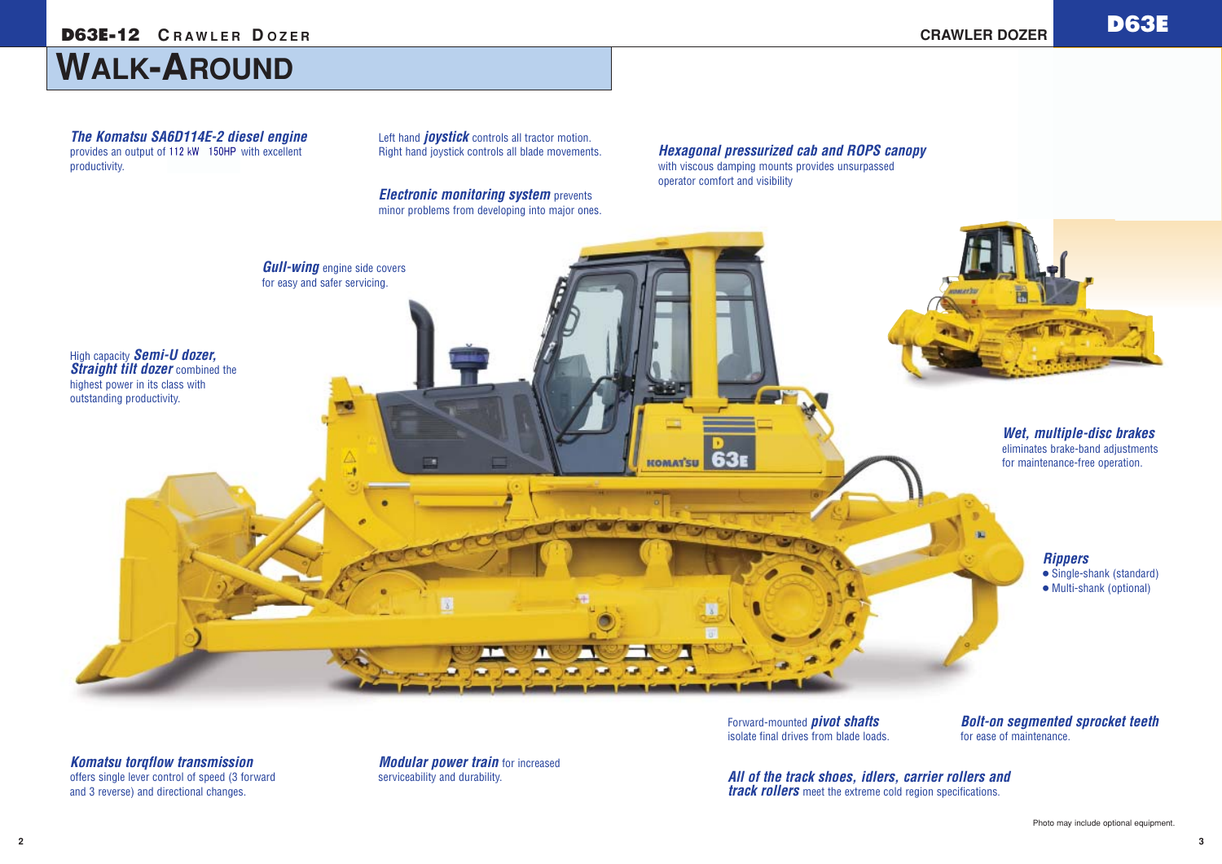# **WALK-AROUND**

*Modular power train* for increased serviceability and durability.

*All of the track shoes, idlers, carrier rollers and track rollers* meet the extreme cold region specifications.



*Bolt-on segmented sprocket teeth* for ease of maintenance.

Left hand *joystick* controls all tractor motion. Right hand joystick controls all blade movements.

*Hexagonal pressurized cab and ROPS canopy* with viscous damping mounts provides unsurpassed operator comfort and visibility

*The Komatsu SA6D114E-2 diesel engine* provides an output of 112 kW 150HP with excellent productivity.

*Komatsu torqflow transmission* offers single lever control of speed (3 forward and 3 reverse) and directional changes.

Forward-mounted *pivot shafts* isolate final drives from blade loads.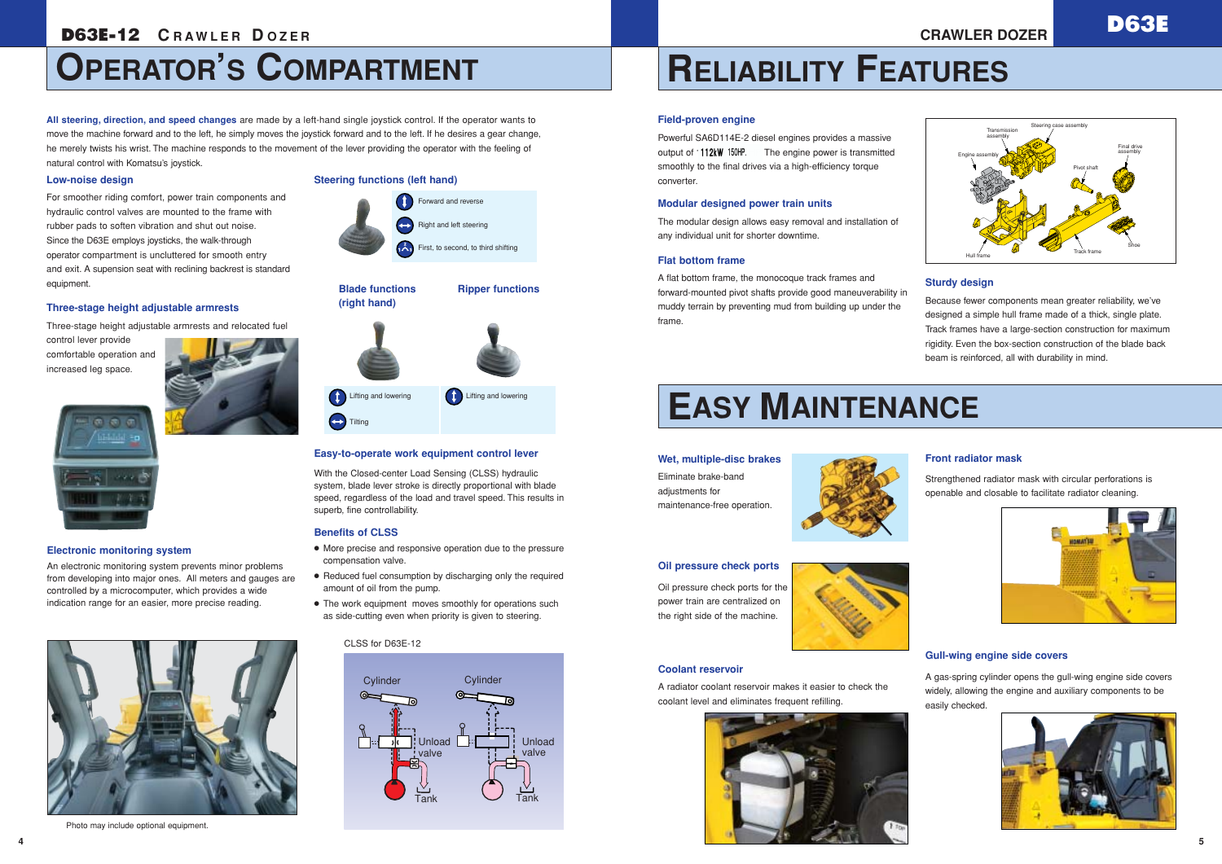



# **OPERATOR'S COMPARTMENT**

### **Electronic monitoring system**

An electronic monitoring system prevents minor problems from developing into major ones. All meters and gauges are controlled by a microcomputer, which provides a wide indication range for an easier, more precise reading.



#### **Easy-to-operate work equipment control lever**

With the Closed-center Load Sensing (CLSS) hydraulic system, blade lever stroke is directly proportional with blade speed, regardless of the load and travel speed. This results in superb, fine controllability.

**CO** Lifting and lowering

### **Benefits of CLSS**

- More precise and responsive operation due to the pressure compensation valve.
- Reduced fuel consumption by discharging only the required amount of oil from the pump.
- The work equipment moves smoothly for operations such as side-cutting even when priority is given to steering.

## **Low-noise design**

For smoother riding comfort, power train components and hydraulic control valves are mounted to the frame with rubber pads to soften vibration and shut out noise. Since the D63E employs joysticks, the walk-through operator compartment is uncluttered for smooth entry and exit. A supension seat with reclining backrest is standard equipment.

The modular design allows easy removal and installation of any individual unit for shorter downtime.

## **Three-stage height adjustable armrests**

Three-stage height adjustable armrests and relocated fuel

control lever provide comfortable operation and increased leg space.



**All steering, direction, and speed changes** are made by a left-hand single joystick control. If the operator wants to move the machine forward and to the left, he simply moves the joystick forward and to the left. If he desires a gear change, he merely twists his wrist. The machine responds to the movement of the lever providing the operator with the feeling of natural control with Komatsu's joystick.



#### CLSS for D63E-12

# **RELIABILITY FEATURES**

# **EASY MAINTENANCE**

#### **Field-proven engine**

Powerful SA6D114E-2 diesel engines provides a massive output of **112kW** 150HP. The engine power is transmitted smoothly to the final drives via a high-efficiency torque converter.

#### **Modular designed power train units**

#### **Flat bottom frame**

A flat bottom frame, the monocoque track frames and forward-mounted pivot shafts provide good maneuverability in muddy terrain by preventing mud from building up under the frame.

### **Wet, multiple-disc brakes**

Eliminate brake-band adjustments for maintenance-free operation.



#### **Coolant reservoir**

A radiator coolant reservoir makes it easier to check the coolant level and eliminates frequent refilling.



**Conduction** Lifting and lowering

**Tilting** 

#### **Oil pressure check ports**

Oil pressure check ports for the power train are centralized on the right side of the machine.



### **Gull-wing engine side covers**

A gas-spring cylinder opens the gull-wing engine side covers widely, allowing the engine and auxiliary components to be easily checked.



## **Sturdy design**

Because fewer components mean greater reliability, we've designed a simple hull frame made of a thick, single plate. Track frames have a large-section construction for maximum rigidity. Even the box-section construction of the blade back beam is reinforced, all with durability in mind.

### **Front radiator mask**

Strengthened radiator mask with circular perforations is openable and closable to facilitate radiator cleaning.





### **Steering functions (left hand)**